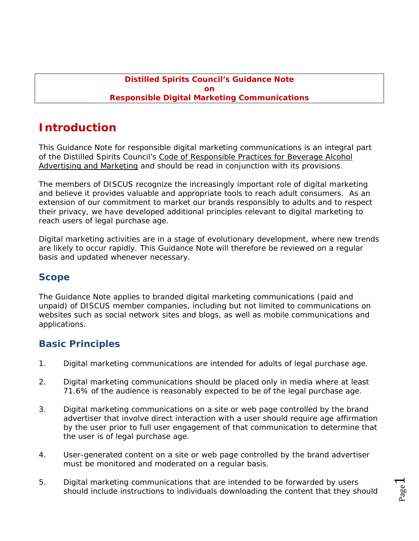#### **Distilled Spirits Council's Guidance Note on Responsible Digital Marketing Communications**

# **Introduction**

This Guidance Note for responsible digital marketing communications is an integral part of the Distilled Spirits Council's Code of Responsible Practices for Beverage Alcohol Advertising and Marketing and should be read in conjunction with its provisions.

The members of DISCUS recognize the increasingly important role of digital marketing and believe it provides valuable and appropriate tools to reach adult consumers. As an extension of our commitment to market our brands responsibly to adults and to respect their privacy, we have developed additional principles relevant to digital marketing to reach users of legal purchase age.

Digital marketing activities are in a stage of evolutionary development, where new trends are likely to occur rapidly. This Guidance Note will therefore be reviewed on a regular basis and updated whenever necessary.

### **Scope**

The Guidance Note applies to branded digital marketing communications (paid and unpaid) of DISCUS member companies, including but not limited to communications on websites such as social network sites and blogs, as well as mobile communications and applications.

### **Basic Principles**

- 1. Digital marketing communications are intended for adults of legal purchase age.
- 2. Digital marketing communications should be placed only in media where at least 71.6% of the audience is reasonably expected to be of the legal purchase age.
- 3. Digital marketing communications on a site or web page controlled by the brand advertiser that involve direct interaction with a user should require age affirmation by the user prior to full user engagement of that communication to determine that the user is of legal purchase age.
- 4. User-generated content on a site or web page controlled by the brand advertiser must be monitored and moderated on a regular basis.
- 5. Digital marketing communications that are intended to be forwarded by users should include instructions to individuals downloading the content that they should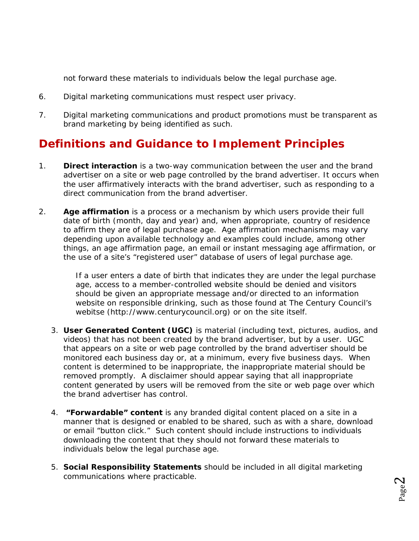not forward these materials to individuals below the legal purchase age.

- 6. Digital marketing communications must respect user privacy.
- 7. Digital marketing communications and product promotions must be transparent as brand marketing by being identified as such.

## **Definitions and Guidance to Implement Principles**

- 1. **Direct interaction** is a two-way communication between the user and the brand advertiser on a site or web page controlled by the brand advertiser. It occurs when the user affirmatively interacts with the brand advertiser, such as responding to a direct communication from the brand advertiser.
- 2. **Age affirmation** is a process or a mechanism by which users provide their full date of birth (month, day and year) and, when appropriate, country of residence to affirm they are of legal purchase age. Age affirmation mechanisms may vary depending upon available technology and examples could include, among other things, an age affirmation page, an email or instant messaging age affirmation, or the use of a site's "registered user" database of users of legal purchase age.

If a user enters a date of birth that indicates they are under the legal purchase age, access to a member-controlled website should be denied and visitors should be given an appropriate message and/or directed to an information website on responsible drinking, such as those found at The Century Council's webitse (http://www.centurycouncil.org) or on the site itself.

- 3. **User Generated Content (UGC)** is material (including text, pictures, audios, and videos) that has not been created by the brand advertiser, but by a user. UGC that appears on a site or web page controlled by the brand advertiser should be monitored each business day or, at a minimum, every five business days. When content is determined to be inappropriate, the inappropriate material should be removed promptly. A disclaimer should appear saying that all inappropriate content generated by users will be removed from the site or web page over which the brand advertiser has control.
- 4. **"Forwardable" content** is any branded digital content placed on a site in a manner that is designed or enabled to be shared, such as with a share, download or email "button click." Such content should include instructions to individuals downloading the content that they should not forward these materials to individuals below the legal purchase age.
- 5. **Social Responsibility Statements** should be included in all digital marketing communications where practicable.